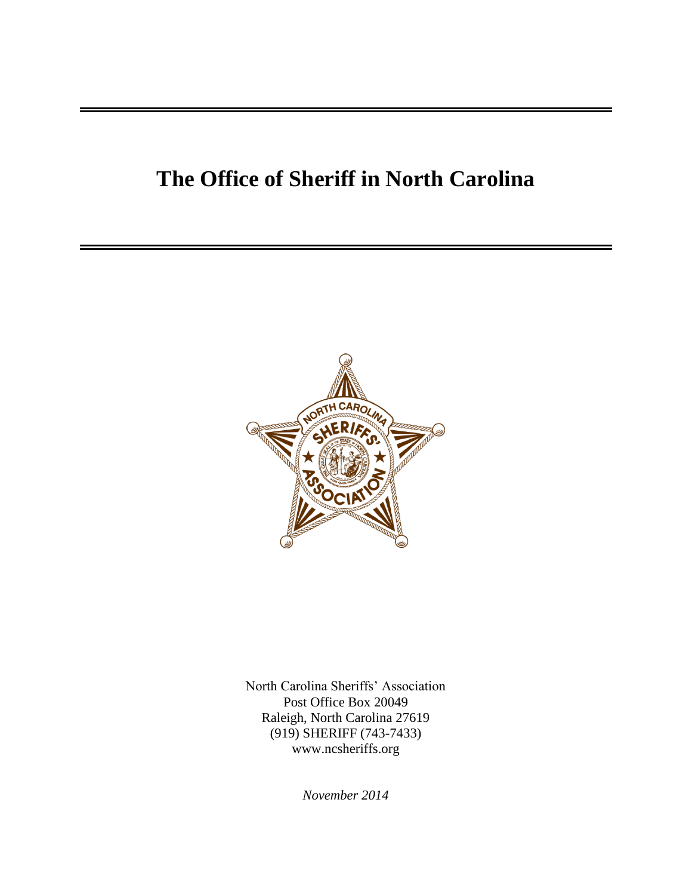### **The Office of Sheriff in North Carolina**



North Carolina Sheriffs' Association Post Office Box 20049 Raleigh, North Carolina 27619 (919) SHERIFF (743-7433) [www.ncsheriffs.org](http://www.ncsheriffs.org/)

*November 2014*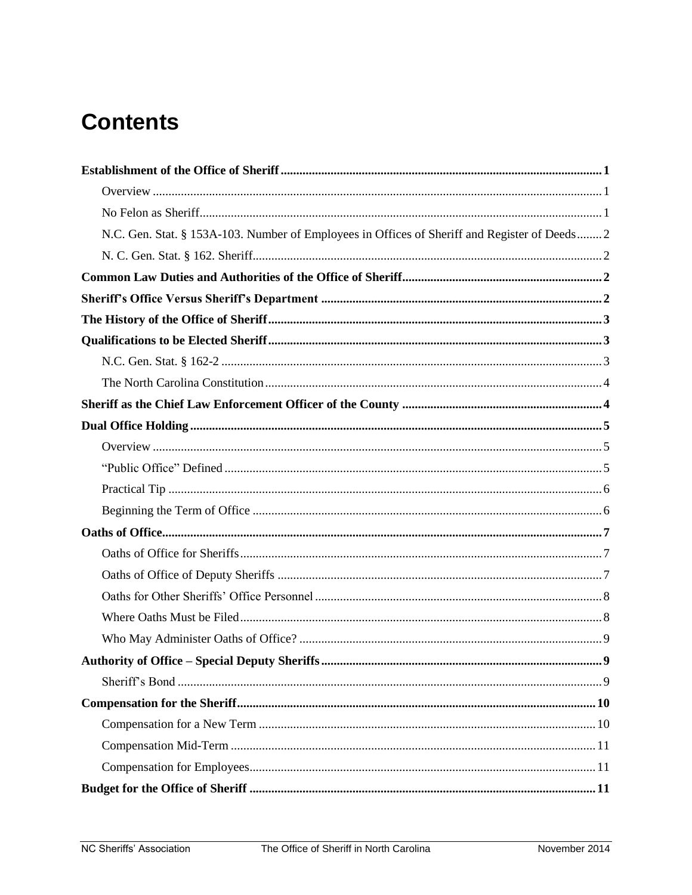# **Contents**

| N.C. Gen. Stat. § 153A-103. Number of Employees in Offices of Sheriff and Register of Deeds 2 |
|-----------------------------------------------------------------------------------------------|
|                                                                                               |
|                                                                                               |
|                                                                                               |
|                                                                                               |
|                                                                                               |
|                                                                                               |
|                                                                                               |
|                                                                                               |
|                                                                                               |
|                                                                                               |
|                                                                                               |
|                                                                                               |
|                                                                                               |
|                                                                                               |
|                                                                                               |
|                                                                                               |
|                                                                                               |
|                                                                                               |
|                                                                                               |
|                                                                                               |
|                                                                                               |
|                                                                                               |
|                                                                                               |
|                                                                                               |
|                                                                                               |
|                                                                                               |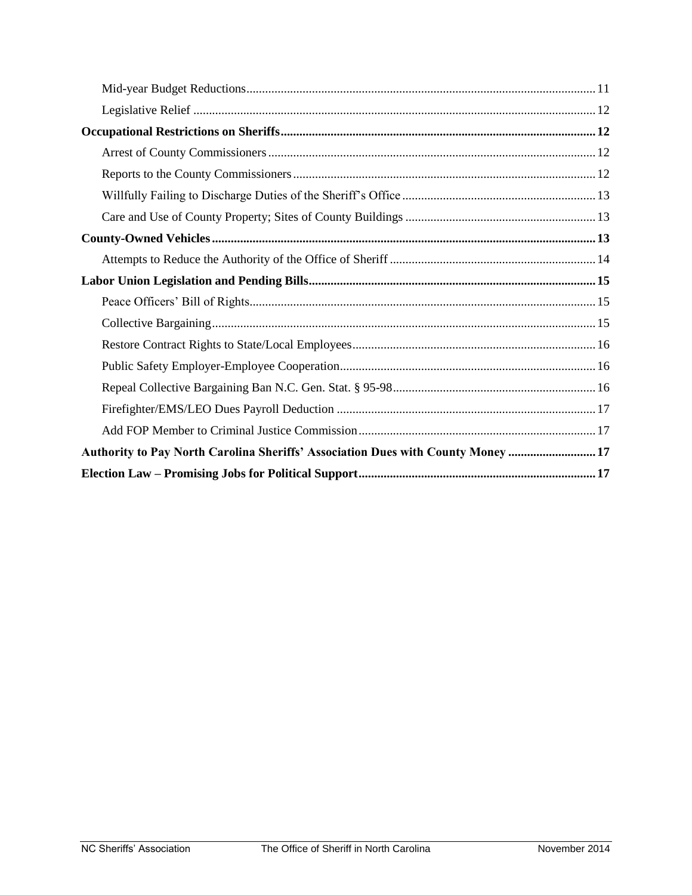| Authority to Pay North Carolina Sheriffs' Association Dues with County Money  17 |
|----------------------------------------------------------------------------------|
|                                                                                  |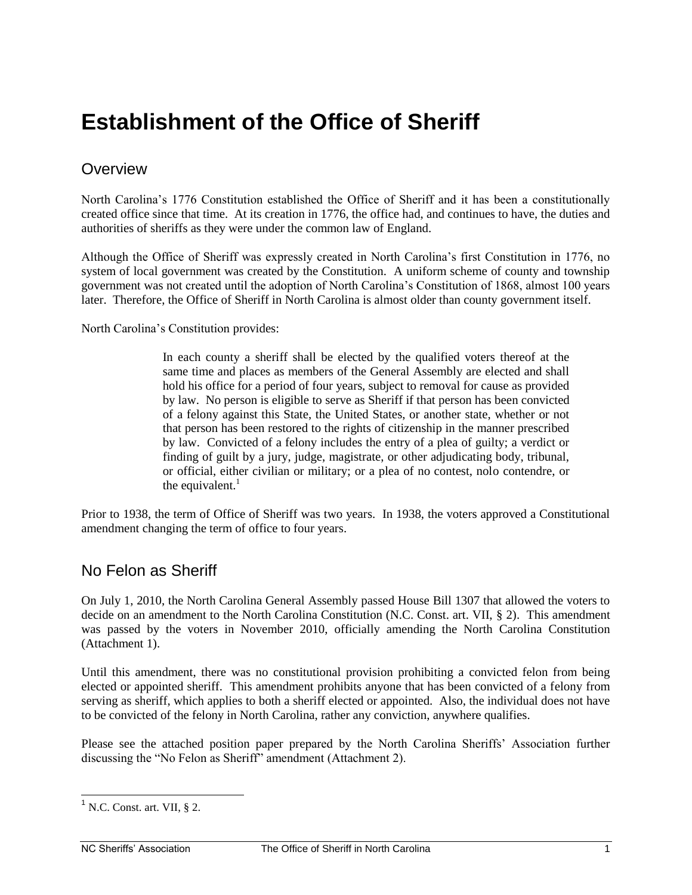### <span id="page-3-0"></span>**Establishment of the Office of Sheriff**

#### <span id="page-3-1"></span>**Overview**

North Carolina's 1776 Constitution established the Office of Sheriff and it has been a constitutionally created office since that time. At its creation in 1776, the office had, and continues to have, the duties and authorities of sheriffs as they were under the common law of England.

Although the Office of Sheriff was expressly created in North Carolina's first Constitution in 1776, no system of local government was created by the Constitution. A uniform scheme of county and township government was not created until the adoption of North Carolina's Constitution of 1868, almost 100 years later. Therefore, the Office of Sheriff in North Carolina is almost older than county government itself.

North Carolina's Constitution provides:

In each county a sheriff shall be elected by the qualified voters thereof at the same time and places as members of the General Assembly are elected and shall hold his office for a period of four years, subject to removal for cause as provided by law. No person is eligible to serve as Sheriff if that person has been convicted of a felony against this State, the United States, or another state, whether or not that person has been restored to the rights of citizenship in the manner prescribed by law. Convicted of a felony includes the entry of a plea of guilty; a verdict or finding of guilt by a jury, judge, magistrate, or other adjudicating body, tribunal, or official, either civilian or military; or a plea of no contest, nolo contendre, or the equivalent. $<sup>1</sup>$ </sup>

Prior to 1938, the term of Office of Sheriff was two years. In 1938, the voters approved a Constitutional amendment changing the term of office to four years.

#### <span id="page-3-2"></span>No Felon as Sheriff

On July 1, 2010, the North Carolina General Assembly passed House Bill 1307 that allowed the voters to decide on an amendment to the North Carolina Constitution (N.C. Const. art. VII, § 2). This amendment was passed by the voters in November 2010, officially amending the North Carolina Constitution (Attachment 1).

Until this amendment, there was no constitutional provision prohibiting a convicted felon from being elected or appointed sheriff. This amendment prohibits anyone that has been convicted of a felony from serving as sheriff, which applies to both a sheriff elected or appointed. Also, the individual does not have to be convicted of the felony in North Carolina, rather any conviction, anywhere qualifies.

Please see the attached position paper prepared by the North Carolina Sheriffs' Association further discussing the "No Felon as Sheriff" amendment (Attachment 2).

 $\overline{\phantom{a}}$ 

 $<sup>1</sup>$  N.C. Const. art. VII, § 2.</sup>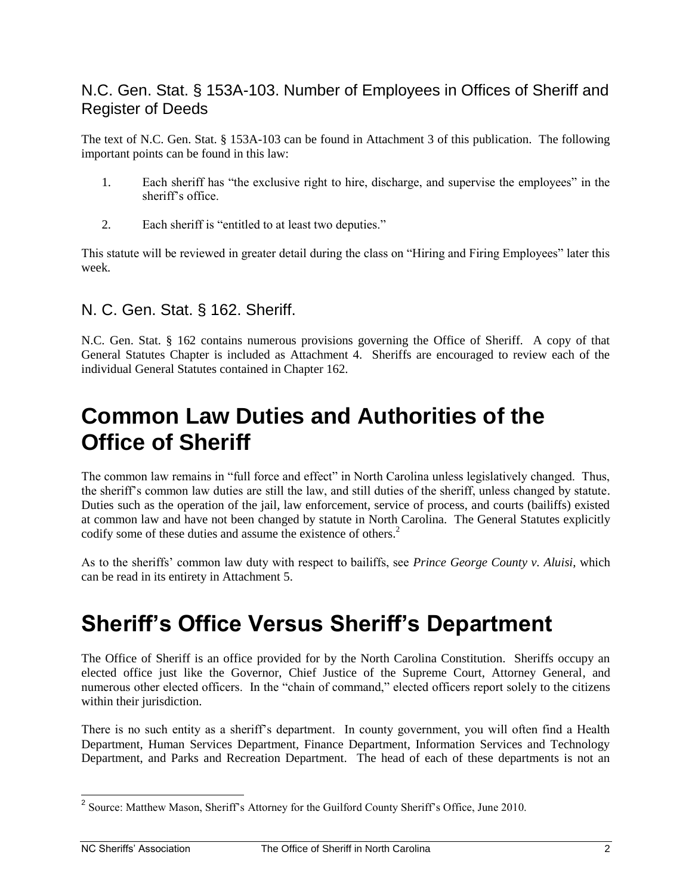#### <span id="page-4-0"></span>N.C. Gen. Stat. § 153A-103. Number of Employees in Offices of Sheriff and Register of Deeds

The text of N.C. Gen. Stat. § 153A-103 can be found in Attachment 3 of this publication. The following important points can be found in this law:

- 1. Each sheriff has "the exclusive right to hire, discharge, and supervise the employees" in the sheriff's office.
- 2. Each sheriff is "entitled to at least two deputies."

This statute will be reviewed in greater detail during the class on "Hiring and Firing Employees" later this week.

#### <span id="page-4-1"></span>N. C. Gen. Stat. § 162. Sheriff.

N.C. Gen. Stat. § 162 contains numerous provisions governing the Office of Sheriff. A copy of that General Statutes Chapter is included as Attachment 4. Sheriffs are encouraged to review each of the individual General Statutes contained in Chapter 162.

### <span id="page-4-2"></span>**Common Law Duties and Authorities of the Office of Sheriff**

The common law remains in "full force and effect" in North Carolina unless legislatively changed. Thus, the sheriff's common law duties are still the law, and still duties of the sheriff, unless changed by statute. Duties such as the operation of the jail, law enforcement, service of process, and courts (bailiffs) existed at common law and have not been changed by statute in North Carolina. The General Statutes explicitly codify some of these duties and assume the existence of others.<sup>2</sup>

<span id="page-4-3"></span>As to the sheriffs' common law duty with respect to bailiffs, see *Prince George County v. Aluisi*, which can be read in its entirety in Attachment 5.

### **Sheriff's Office Versus Sheriff's Department**

The Office of Sheriff is an office provided for by the North Carolina Constitution. Sheriffs occupy an elected office just like the Governor, Chief Justice of the Supreme Court, Attorney General, and numerous other elected officers. In the "chain of command," elected officers report solely to the citizens within their jurisdiction.

There is no such entity as a sheriff's department. In county government, you will often find a Health Department, Human Services Department, Finance Department, Information Services and Technology Department, and Parks and Recreation Department. The head of each of these departments is not an

<sup>&</sup>lt;sup>2</sup> Source: Matthew Mason, Sheriff's Attorney for the Guilford County Sheriff's Office, June 2010.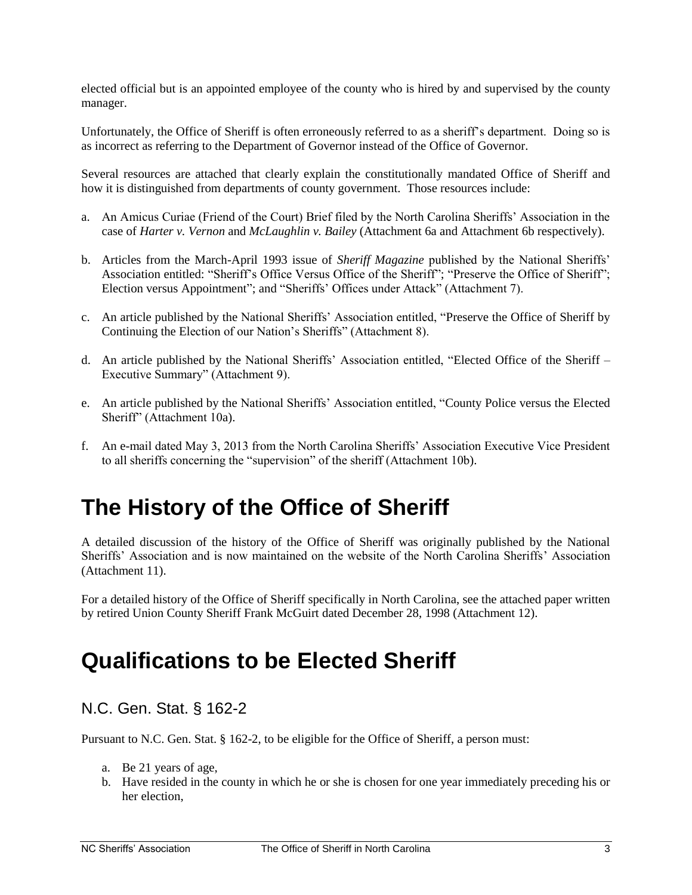elected official but is an appointed employee of the county who is hired by and supervised by the county manager.

Unfortunately, the Office of Sheriff is often erroneously referred to as a sheriff's department. Doing so is as incorrect as referring to the Department of Governor instead of the Office of Governor.

Several resources are attached that clearly explain the constitutionally mandated Office of Sheriff and how it is distinguished from departments of county government. Those resources include:

- a. An Amicus Curiae (Friend of the Court) Brief filed by the North Carolina Sheriffs' Association in the case of *Harter v. Vernon* and *McLaughlin v. Bailey* (Attachment 6a and Attachment 6b respectively).
- b. Articles from the March-April 1993 issue of *Sheriff Magazine* published by the National Sheriffs' Association entitled: "Sheriff's Office Versus Office of the Sheriff"; "Preserve the Office of Sheriff"; Election versus Appointment"; and "Sheriffs' Offices under Attack" (Attachment 7).
- c. An article published by the National Sheriffs' Association entitled, "Preserve the Office of Sheriff by Continuing the Election of our Nation's Sheriffs" (Attachment 8).
- d. An article published by the National Sheriffs' Association entitled, "Elected Office of the Sheriff Executive Summary" (Attachment 9).
- e. An article published by the National Sheriffs' Association entitled, "County Police versus the Elected Sheriff" (Attachment 10a).
- f. An e-mail dated May 3, 2013 from the North Carolina Sheriffs' Association Executive Vice President to all sheriffs concerning the "supervision" of the sheriff (Attachment 10b).

# <span id="page-5-0"></span>**The History of the Office of Sheriff**

A detailed discussion of the history of the Office of Sheriff was originally published by the National Sheriffs' Association and is now maintained on the website of the North Carolina Sheriffs' Association (Attachment 11).

For a detailed history of the Office of Sheriff specifically in North Carolina, see the attached paper written by retired Union County Sheriff Frank McGuirt dated December 28, 1998 (Attachment 12).

### <span id="page-5-1"></span>**Qualifications to be Elected Sheriff**

#### <span id="page-5-2"></span>N.C. Gen. Stat. § 162-2

Pursuant to N.C. Gen. Stat. § 162-2, to be eligible for the Office of Sheriff, a person must:

- a. Be 21 years of age,
- b. Have resided in the county in which he or she is chosen for one year immediately preceding his or her election,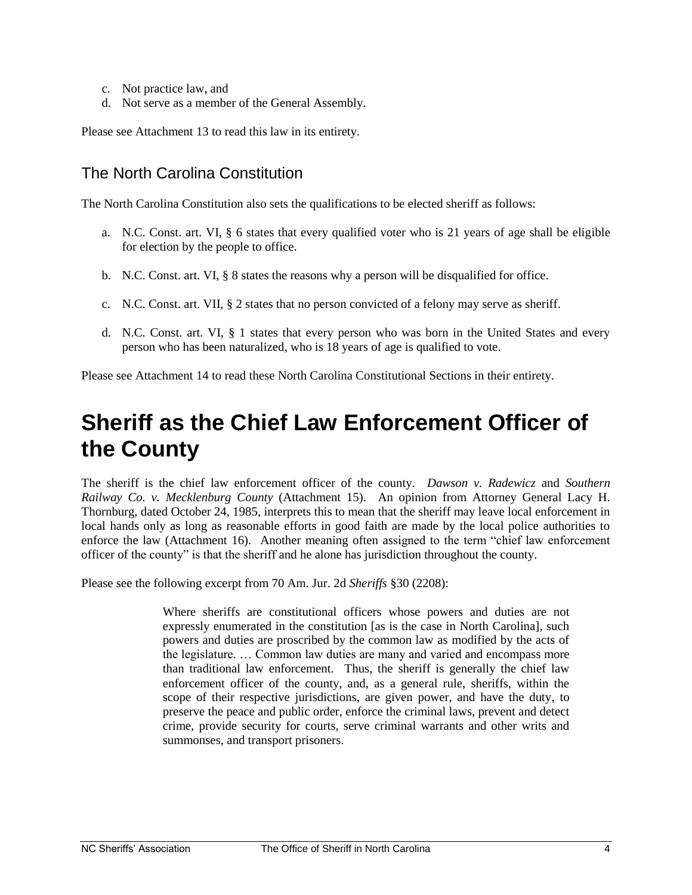- c. Not practice law, and
- d. Not serve as a member of the General Assembly.

Please see Attachment 13 to read this law in its entirety.

#### <span id="page-6-0"></span>The North Carolina Constitution

The North Carolina Constitution also sets the qualifications to be elected sheriff as follows:

- a. N.C. Const. art. VI, § 6 states that every qualified voter who is 21 years of age shall be eligible for election by the people to office.
- b. N.C. Const. art. VI, § 8 states the reasons why a person will be disqualified for office.
- c. N.C. Const. art. VII,  $\S$  2 states that no person convicted of a felony may serve as sheriff.
- d. N.C. Const. art. VI, § 1 states that every person who was born in the United States and every person who has been naturalized, who is 18 years of age is qualified to vote.

<span id="page-6-1"></span>Please see Attachment 14 to read these North Carolina Constitutional Sections in their entirety.

# **Sheriff as the Chief Law Enforcement Officer of the County**

The sheriff is the chief law enforcement officer of the county. *Dawson v. Radewicz* and *Southern Railway Co. v. Mecklenburg County* (Attachment 15). An opinion from Attorney General Lacy H. Thornburg, dated October 24, 1985, interprets this to mean that the sheriff may leave local enforcement in local hands only as long as reasonable efforts in good faith are made by the local police authorities to enforce the law (Attachment 16). Another meaning often assigned to the term "chief law enforcement officer of the county" is that the sheriff and he alone has jurisdiction throughout the county.

Please see the following excerpt from 70 Am. Jur. 2d *Sheriffs* §30 (2208):

Where sheriffs are constitutional officers whose powers and duties are not expressly enumerated in the constitution [as is the case in North Carolina], such powers and duties are proscribed by the common law as modified by the acts of the legislature. … Common law duties are many and varied and encompass more than traditional law enforcement. Thus, the sheriff is generally the chief law enforcement officer of the county, and, as a general rule, sheriffs, within the scope of their respective jurisdictions, are given power, and have the duty, to preserve the peace and public order, enforce the criminal laws, prevent and detect crime, provide security for courts, serve criminal warrants and other writs and summonses, and transport prisoners.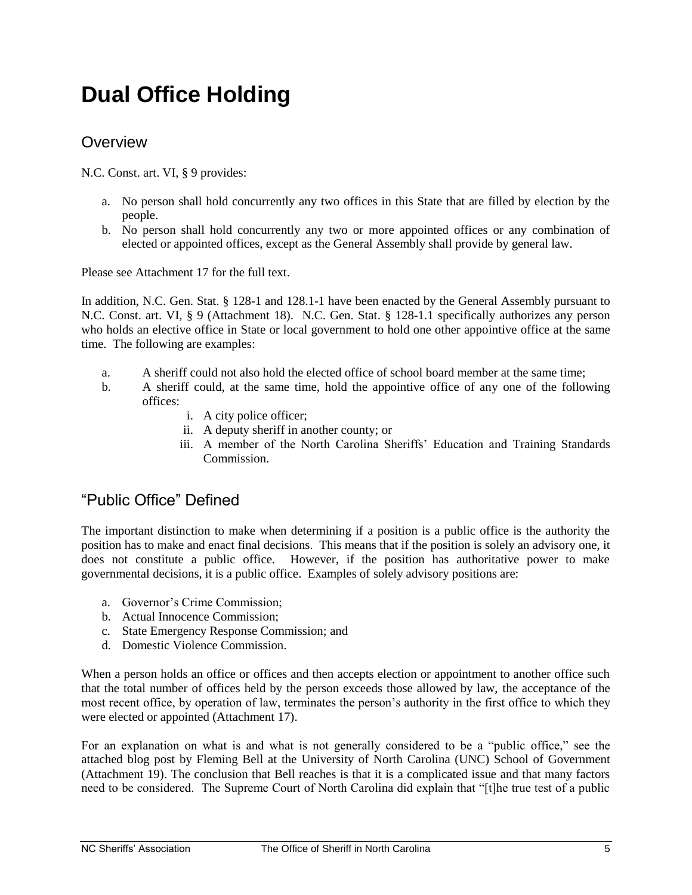# <span id="page-7-0"></span>**Dual Office Holding**

#### <span id="page-7-1"></span>**Overview**

N.C. Const. art. VI, § 9 provides:

- a. No person shall hold concurrently any two offices in this State that are filled by election by the people.
- b. No person shall hold concurrently any two or more appointed offices or any combination of elected or appointed offices, except as the General Assembly shall provide by general law.

Please see Attachment 17 for the full text.

In addition, N.C. Gen. Stat. § 128-1 and 128.1-1 have been enacted by the General Assembly pursuant to N.C. Const. art. VI, § 9 (Attachment 18). N.C. Gen. Stat. § 128-1.1 specifically authorizes any person who holds an elective office in State or local government to hold one other appointive office at the same time. The following are examples:

- a. A sheriff could not also hold the elected office of school board member at the same time;
- b. A sheriff could, at the same time, hold the appointive office of any one of the following offices:
	- i. A city police officer;
	- ii. A deputy sheriff in another county; or
	- iii. A member of the North Carolina Sheriffs' Education and Training Standards Commission.

#### <span id="page-7-2"></span>"Public Office" Defined

The important distinction to make when determining if a position is a public office is the authority the position has to make and enact final decisions. This means that if the position is solely an advisory one, it does not constitute a public office. However, if the position has authoritative power to make governmental decisions, it is a public office. Examples of solely advisory positions are:

- a. Governor's Crime Commission;
- b. Actual Innocence Commission;
- c. State Emergency Response Commission; and
- d. Domestic Violence Commission.

When a person holds an office or offices and then accepts election or appointment to another office such that the total number of offices held by the person exceeds those allowed by law, the acceptance of the most recent office, by operation of law, terminates the person's authority in the first office to which they were elected or appointed (Attachment 17).

For an explanation on what is and what is not generally considered to be a "public office," see the attached blog post by Fleming Bell at the University of North Carolina (UNC) School of Government (Attachment 19). The conclusion that Bell reaches is that it is a complicated issue and that many factors need to be considered. The Supreme Court of North Carolina did explain that "[t]he true test of a public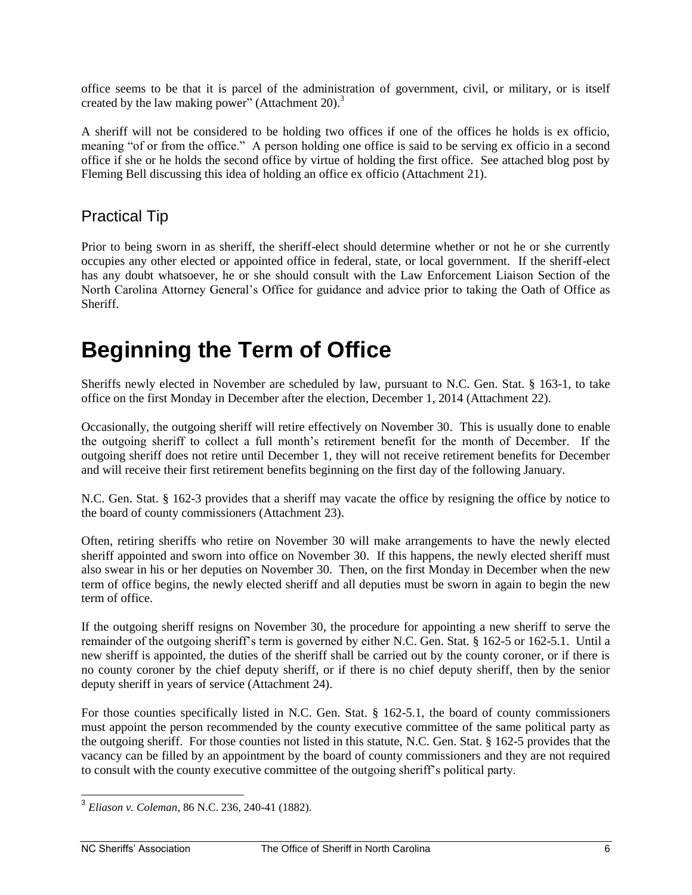office seems to be that it is parcel of the administration of government, civil, or military, or is itself created by the law making power" (Attachment 20).<sup>3</sup>

A sheriff will not be considered to be holding two offices if one of the offices he holds is ex officio, meaning "of or from the office." A person holding one office is said to be serving ex officio in a second office if she or he holds the second office by virtue of holding the first office. See attached blog post by Fleming Bell discussing this idea of holding an office ex officio (Attachment 21).

#### <span id="page-8-0"></span>Practical Tip

Prior to being sworn in as sheriff, the sheriff-elect should determine whether or not he or she currently occupies any other elected or appointed office in federal, state, or local government. If the sheriff-elect has any doubt whatsoever, he or she should consult with the Law Enforcement Liaison Section of the North Carolina Attorney General's Office for guidance and advice prior to taking the Oath of Office as Sheriff.

# <span id="page-8-1"></span>**Beginning the Term of Office**

Sheriffs newly elected in November are scheduled by law, pursuant to N.C. Gen. Stat. § 163-1, to take office on the first Monday in December after the election, December 1, 2014 (Attachment 22).

Occasionally, the outgoing sheriff will retire effectively on November 30. This is usually done to enable the outgoing sheriff to collect a full month's retirement benefit for the month of December. If the outgoing sheriff does not retire until December 1, they will not receive retirement benefits for December and will receive their first retirement benefits beginning on the first day of the following January.

N.C. Gen. Stat. § 162-3 provides that a sheriff may vacate the office by resigning the office by notice to the board of county commissioners (Attachment 23).

Often, retiring sheriffs who retire on November 30 will make arrangements to have the newly elected sheriff appointed and sworn into office on November 30. If this happens, the newly elected sheriff must also swear in his or her deputies on November 30. Then, on the first Monday in December when the new term of office begins, the newly elected sheriff and all deputies must be sworn in again to begin the new term of office.

If the outgoing sheriff resigns on November 30, the procedure for appointing a new sheriff to serve the remainder of the outgoing sheriff's term is governed by either N.C. Gen. Stat. § 162-5 or 162-5.1. Until a new sheriff is appointed, the duties of the sheriff shall be carried out by the county coroner, or if there is no county coroner by the chief deputy sheriff, or if there is no chief deputy sheriff, then by the senior deputy sheriff in years of service (Attachment 24).

For those counties specifically listed in N.C. Gen. Stat. § 162-5.1, the board of county commissioners must appoint the person recommended by the county executive committee of the same political party as the outgoing sheriff. For those counties not listed in this statute, N.C. Gen. Stat. § 162-5 provides that the vacancy can be filled by an appointment by the board of county commissioners and they are not required to consult with the county executive committee of the outgoing sheriff's political party.

 3 *Eliason v. Coleman*, 86 N.C. 236, 240-41 (1882).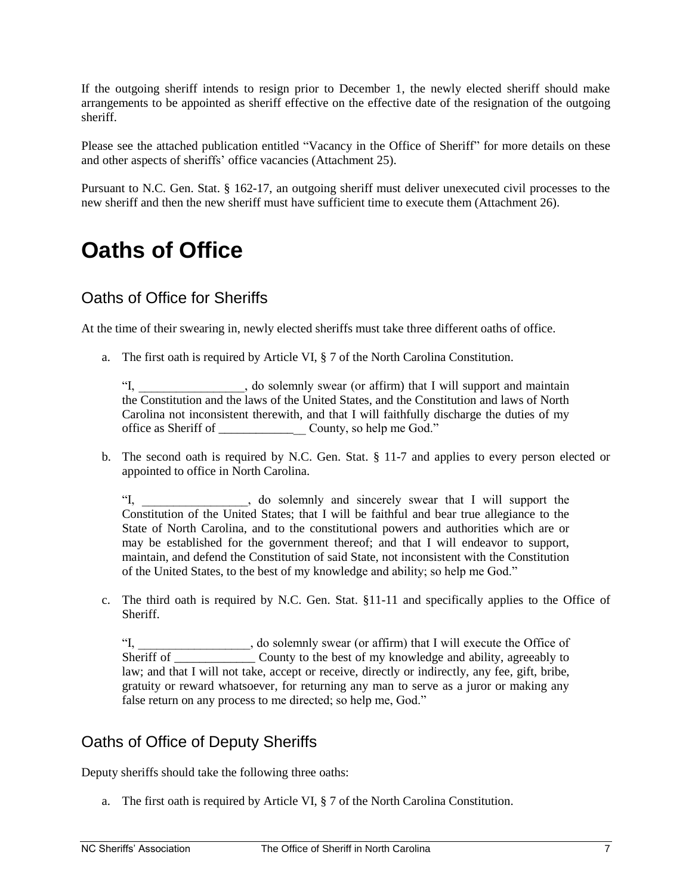If the outgoing sheriff intends to resign prior to December 1, the newly elected sheriff should make arrangements to be appointed as sheriff effective on the effective date of the resignation of the outgoing sheriff.

Please see the attached publication entitled "Vacancy in the Office of Sheriff" for more details on these and other aspects of sheriffs' office vacancies (Attachment 25).

<span id="page-9-0"></span>Pursuant to N.C. Gen. Stat. § 162-17, an outgoing sheriff must deliver unexecuted civil processes to the new sheriff and then the new sheriff must have sufficient time to execute them (Attachment 26).

### **Oaths of Office**

#### <span id="page-9-1"></span>Oaths of Office for Sheriffs

At the time of their swearing in, newly elected sheriffs must take three different oaths of office.

a. The first oath is required by Article VI, § 7 of the North Carolina Constitution.

"I, \_\_\_\_\_\_\_\_\_\_\_\_\_\_\_\_\_, do solemnly swear (or affirm) that I will support and maintain the Constitution and the laws of the United States, and the Constitution and laws of North Carolina not inconsistent therewith, and that I will faithfully discharge the duties of my office as Sheriff of \_\_\_\_\_\_\_\_\_\_\_\_\_\_ County, so help me God."

b. The second oath is required by N.C. Gen. Stat. § 11-7 and applies to every person elected or appointed to office in North Carolina.

"I, do solemnly and sincerely swear that I will support the Constitution of the United States; that I will be faithful and bear true allegiance to the State of North Carolina, and to the constitutional powers and authorities which are or may be established for the government thereof; and that I will endeavor to support, maintain, and defend the Constitution of said State, not inconsistent with the Constitution of the United States, to the best of my knowledge and ability; so help me God."

c. The third oath is required by N.C. Gen. Stat. §11-11 and specifically applies to the Office of Sheriff.

"I, do solemnly swear (or affirm) that I will execute the Office of Sheriff of \_\_\_\_\_\_\_\_\_\_\_\_\_\_\_\_ County to the best of my knowledge and ability, agreeably to law; and that I will not take, accept or receive, directly or indirectly, any fee, gift, bribe, gratuity or reward whatsoever, for returning any man to serve as a juror or making any false return on any process to me directed; so help me, God."

#### <span id="page-9-2"></span>Oaths of Office of Deputy Sheriffs

Deputy sheriffs should take the following three oaths:

a. The first oath is required by Article VI, § 7 of the North Carolina Constitution.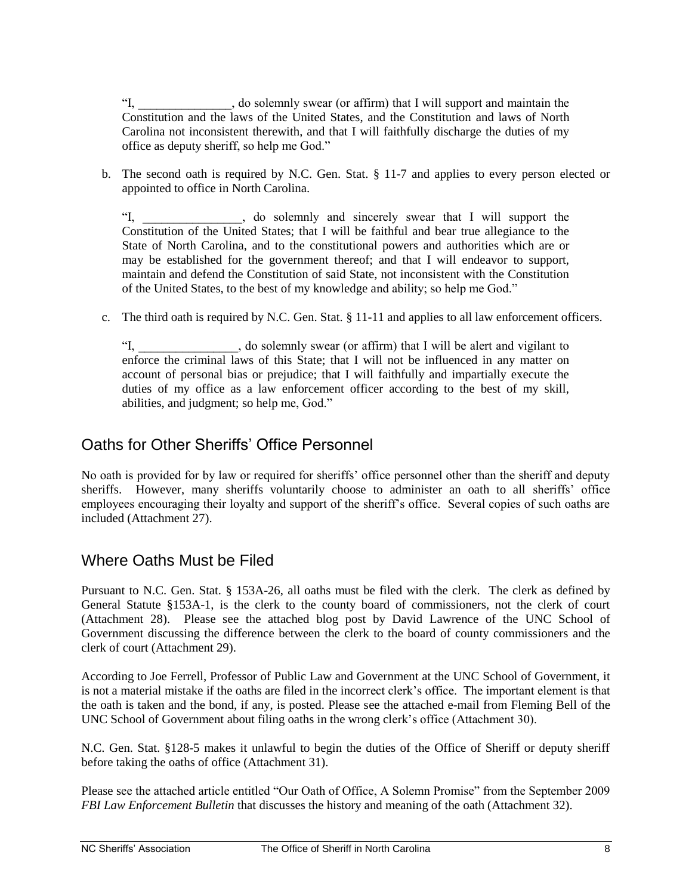"I, \_\_\_\_\_\_\_\_\_\_\_\_\_\_\_, do solemnly swear (or affirm) that I will support and maintain the Constitution and the laws of the United States, and the Constitution and laws of North Carolina not inconsistent therewith, and that I will faithfully discharge the duties of my office as deputy sheriff, so help me God."

b. The second oath is required by N.C. Gen. Stat. § 11-7 and applies to every person elected or appointed to office in North Carolina.

"I, \_\_\_\_\_\_\_\_\_\_\_\_\_\_\_\_, do solemnly and sincerely swear that I will support the Constitution of the United States; that I will be faithful and bear true allegiance to the State of North Carolina, and to the constitutional powers and authorities which are or may be established for the government thereof; and that I will endeavor to support, maintain and defend the Constitution of said State, not inconsistent with the Constitution of the United States, to the best of my knowledge and ability; so help me God."

c. The third oath is required by N.C. Gen. Stat. § 11-11 and applies to all law enforcement officers.

, do solemnly swear (or affirm) that I will be alert and vigilant to enforce the criminal laws of this State; that I will not be influenced in any matter on account of personal bias or prejudice; that I will faithfully and impartially execute the duties of my office as a law enforcement officer according to the best of my skill, abilities, and judgment; so help me, God."

#### <span id="page-10-0"></span>Oaths for Other Sheriffs' Office Personnel

No oath is provided for by law or required for sheriffs' office personnel other than the sheriff and deputy sheriffs. However, many sheriffs voluntarily choose to administer an oath to all sheriffs' office employees encouraging their loyalty and support of the sheriff's office. Several copies of such oaths are included (Attachment 27).

#### <span id="page-10-1"></span>Where Oaths Must be Filed

Pursuant to N.C. Gen. Stat. § 153A-26, all oaths must be filed with the clerk. The clerk as defined by General Statute §153A-1, is the clerk to the county board of commissioners, not the clerk of court (Attachment 28). Please see the attached blog post by David Lawrence of the UNC School of Government discussing the difference between the clerk to the board of county commissioners and the clerk of court (Attachment 29).

According to Joe Ferrell, Professor of Public Law and Government at the UNC School of Government, it is not a material mistake if the oaths are filed in the incorrect clerk's office. The important element is that the oath is taken and the bond, if any, is posted. Please see the attached e-mail from Fleming Bell of the UNC School of Government about filing oaths in the wrong clerk's office (Attachment 30).

N.C. Gen. Stat. §128-5 makes it unlawful to begin the duties of the Office of Sheriff or deputy sheriff before taking the oaths of office (Attachment 31).

Please see the attached article entitled "Our Oath of Office, A Solemn Promise" from the September 2009 *FBI Law Enforcement Bulletin* that discusses the history and meaning of the oath (Attachment 32).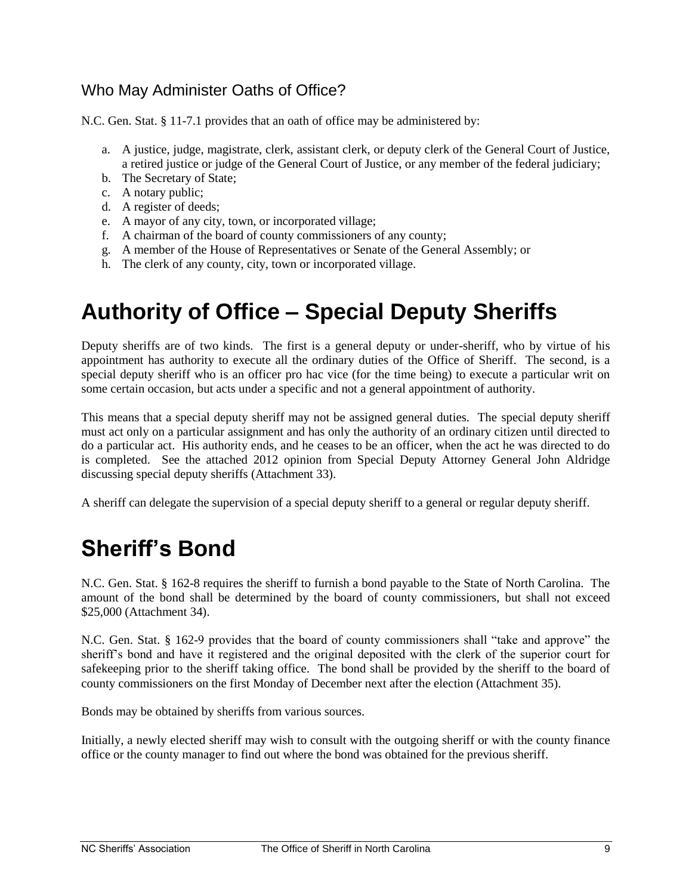#### <span id="page-11-0"></span>Who May Administer Oaths of Office?

N.C. Gen. Stat. § 11-7.1 provides that an oath of office may be administered by:

- a. A justice, judge, magistrate, clerk, assistant clerk, or deputy clerk of the General Court of Justice, a retired justice or judge of the General Court of Justice, or any member of the federal judiciary;
- b. The Secretary of State;
- c. A notary public;
- d. A register of deeds;
- e. A mayor of any city, town, or incorporated village;
- f. A chairman of the board of county commissioners of any county;
- g. A member of the House of Representatives or Senate of the General Assembly; or
- <span id="page-11-1"></span>h. The clerk of any county, city, town or incorporated village.

# **Authority of Office – Special Deputy Sheriffs**

Deputy sheriffs are of two kinds. The first is a general deputy or under-sheriff, who by virtue of his appointment has authority to execute all the ordinary duties of the Office of Sheriff. The second, is a special deputy sheriff who is an officer pro hac vice (for the time being) to execute a particular writ on some certain occasion, but acts under a specific and not a general appointment of authority.

This means that a special deputy sheriff may not be assigned general duties. The special deputy sheriff must act only on a particular assignment and has only the authority of an ordinary citizen until directed to do a particular act. His authority ends, and he ceases to be an officer, when the act he was directed to do is completed. See the attached 2012 opinion from Special Deputy Attorney General John Aldridge discussing special deputy sheriffs (Attachment 33).

A sheriff can delegate the supervision of a special deputy sheriff to a general or regular deputy sheriff.

# <span id="page-11-2"></span>**Sheriff's Bond**

N.C. Gen. Stat. § 162-8 requires the sheriff to furnish a bond payable to the State of North Carolina. The amount of the bond shall be determined by the board of county commissioners, but shall not exceed \$25,000 (Attachment 34).

N.C. Gen. Stat. § 162-9 provides that the board of county commissioners shall "take and approve" the sheriff's bond and have it registered and the original deposited with the clerk of the superior court for safekeeping prior to the sheriff taking office. The bond shall be provided by the sheriff to the board of county commissioners on the first Monday of December next after the election (Attachment 35).

Bonds may be obtained by sheriffs from various sources.

Initially, a newly elected sheriff may wish to consult with the outgoing sheriff or with the county finance office or the county manager to find out where the bond was obtained for the previous sheriff.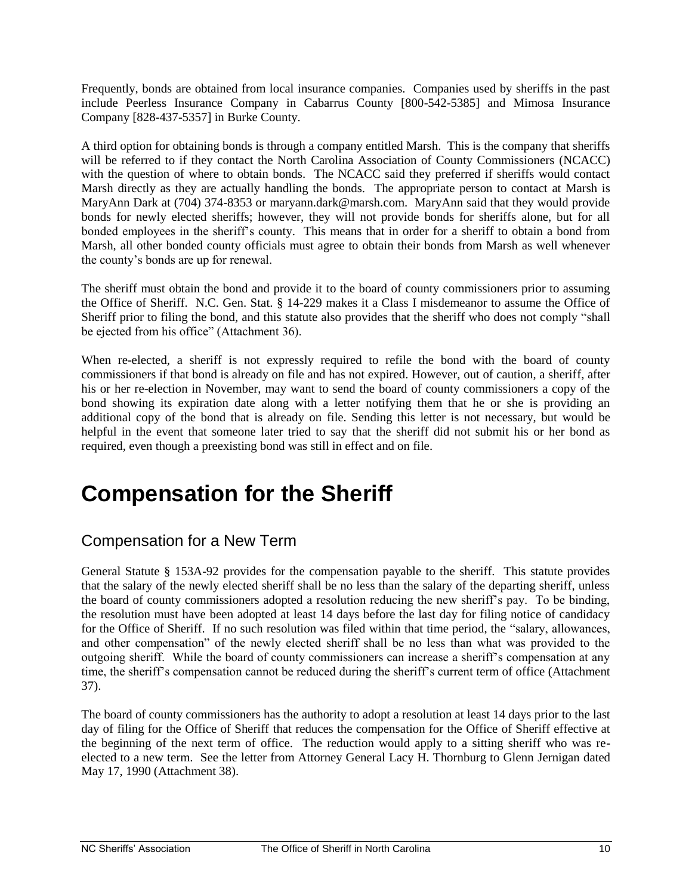Frequently, bonds are obtained from local insurance companies. Companies used by sheriffs in the past include Peerless Insurance Company in Cabarrus County [800-542-5385] and Mimosa Insurance Company [828-437-5357] in Burke County.

A third option for obtaining bonds is through a company entitled Marsh. This is the company that sheriffs will be referred to if they contact the North Carolina Association of County Commissioners (NCACC) with the question of where to obtain bonds. The NCACC said they preferred if sheriffs would contact Marsh directly as they are actually handling the bonds. The appropriate person to contact at Marsh is MaryAnn Dark at (704) 374-8353 or maryann.dark@marsh.com. MaryAnn said that they would provide bonds for newly elected sheriffs; however, they will not provide bonds for sheriffs alone, but for all bonded employees in the sheriff's county. This means that in order for a sheriff to obtain a bond from Marsh, all other bonded county officials must agree to obtain their bonds from Marsh as well whenever the county's bonds are up for renewal.

The sheriff must obtain the bond and provide it to the board of county commissioners prior to assuming the Office of Sheriff. N.C. Gen. Stat. § 14-229 makes it a Class I misdemeanor to assume the Office of Sheriff prior to filing the bond, and this statute also provides that the sheriff who does not comply "shall be ejected from his office" (Attachment 36).

When re-elected, a sheriff is not expressly required to refile the bond with the board of county commissioners if that bond is already on file and has not expired. However, out of caution, a sheriff, after his or her re-election in November, may want to send the board of county commissioners a copy of the bond showing its expiration date along with a letter notifying them that he or she is providing an additional copy of the bond that is already on file. Sending this letter is not necessary, but would be helpful in the event that someone later tried to say that the sheriff did not submit his or her bond as required, even though a preexisting bond was still in effect and on file.

# <span id="page-12-0"></span>**Compensation for the Sheriff**

### <span id="page-12-1"></span>Compensation for a New Term

General Statute § 153A-92 provides for the compensation payable to the sheriff. This statute provides that the salary of the newly elected sheriff shall be no less than the salary of the departing sheriff, unless the board of county commissioners adopted a resolution reducing the new sheriff's pay. To be binding, the resolution must have been adopted at least 14 days before the last day for filing notice of candidacy for the Office of Sheriff. If no such resolution was filed within that time period, the "salary, allowances, and other compensation" of the newly elected sheriff shall be no less than what was provided to the outgoing sheriff. While the board of county commissioners can increase a sheriff's compensation at any time, the sheriff's compensation cannot be reduced during the sheriff's current term of office (Attachment 37).

The board of county commissioners has the authority to adopt a resolution at least 14 days prior to the last day of filing for the Office of Sheriff that reduces the compensation for the Office of Sheriff effective at the beginning of the next term of office. The reduction would apply to a sitting sheriff who was reelected to a new term. See the letter from Attorney General Lacy H. Thornburg to Glenn Jernigan dated May 17, 1990 (Attachment 38).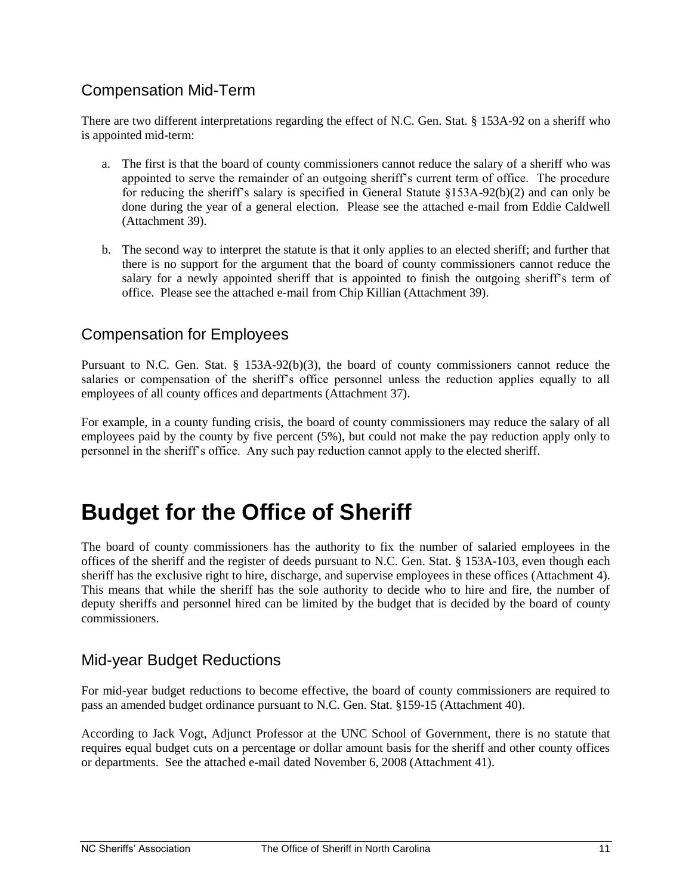#### <span id="page-13-0"></span>Compensation Mid-Term

There are two different interpretations regarding the effect of N.C. Gen. Stat. § 153A-92 on a sheriff who is appointed mid-term:

- a. The first is that the board of county commissioners cannot reduce the salary of a sheriff who was appointed to serve the remainder of an outgoing sheriff's current term of office. The procedure for reducing the sheriff's salary is specified in General Statute §153A-92(b)(2) and can only be done during the year of a general election. Please see the attached e-mail from Eddie Caldwell (Attachment 39).
- b. The second way to interpret the statute is that it only applies to an elected sheriff; and further that there is no support for the argument that the board of county commissioners cannot reduce the salary for a newly appointed sheriff that is appointed to finish the outgoing sheriff's term of office. Please see the attached e-mail from Chip Killian (Attachment 39).

#### <span id="page-13-1"></span>Compensation for Employees

Pursuant to N.C. Gen. Stat. § 153A-92(b)(3), the board of county commissioners cannot reduce the salaries or compensation of the sheriff's office personnel unless the reduction applies equally to all employees of all county offices and departments (Attachment 37).

For example, in a county funding crisis, the board of county commissioners may reduce the salary of all employees paid by the county by five percent (5%), but could not make the pay reduction apply only to personnel in the sheriff's office. Any such pay reduction cannot apply to the elected sheriff.

### <span id="page-13-2"></span>**Budget for the Office of Sheriff**

The board of county commissioners has the authority to fix the number of salaried employees in the offices of the sheriff and the register of deeds pursuant to N.C. Gen. Stat. § 153A-103, even though each sheriff has the exclusive right to hire, discharge, and supervise employees in these offices (Attachment 4). This means that while the sheriff has the sole authority to decide who to hire and fire, the number of deputy sheriffs and personnel hired can be limited by the budget that is decided by the board of county commissioners.

#### <span id="page-13-3"></span>Mid-year Budget Reductions

For mid-year budget reductions to become effective, the board of county commissioners are required to pass an amended budget ordinance pursuant to N.C. Gen. Stat. §159-15 (Attachment 40).

According to Jack Vogt, Adjunct Professor at the UNC School of Government, there is no statute that requires equal budget cuts on a percentage or dollar amount basis for the sheriff and other county offices or departments. See the attached e-mail dated November 6, 2008 (Attachment 41).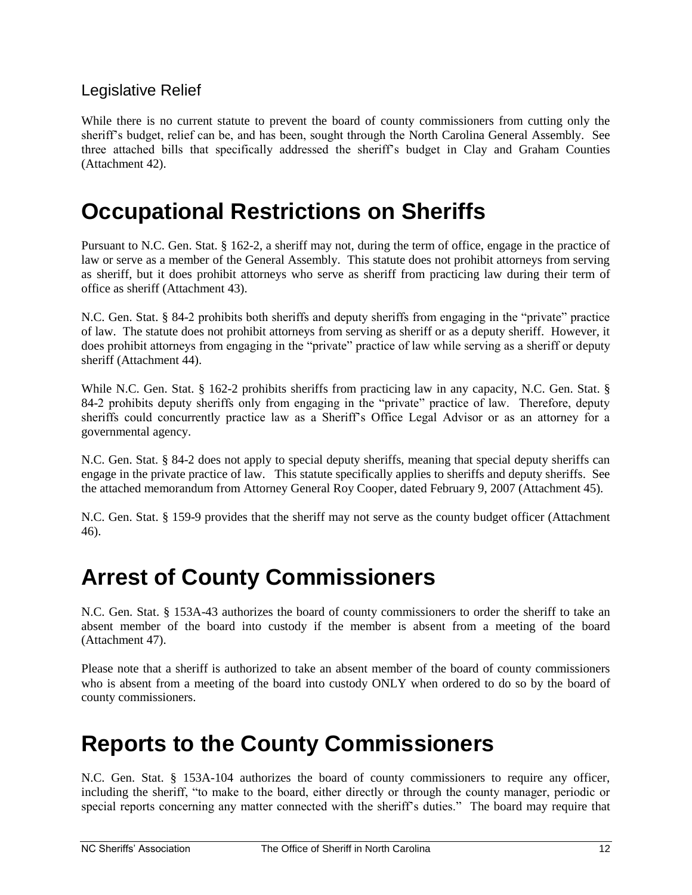#### <span id="page-14-0"></span>Legislative Relief

While there is no current statute to prevent the board of county commissioners from cutting only the sheriff's budget, relief can be, and has been, sought through the North Carolina General Assembly. See three attached bills that specifically addressed the sheriff's budget in Clay and Graham Counties (Attachment 42).

### <span id="page-14-1"></span>**Occupational Restrictions on Sheriffs**

Pursuant to N.C. Gen. Stat. § 162-2, a sheriff may not, during the term of office, engage in the practice of law or serve as a member of the General Assembly. This statute does not prohibit attorneys from serving as sheriff, but it does prohibit attorneys who serve as sheriff from practicing law during their term of office as sheriff (Attachment 43).

N.C. Gen. Stat. § 84-2 prohibits both sheriffs and deputy sheriffs from engaging in the "private" practice of law. The statute does not prohibit attorneys from serving as sheriff or as a deputy sheriff. However, it does prohibit attorneys from engaging in the "private" practice of law while serving as a sheriff or deputy sheriff (Attachment 44).

While N.C. Gen. Stat. § 162-2 prohibits sheriffs from practicing law in any capacity, N.C. Gen. Stat. § 84-2 prohibits deputy sheriffs only from engaging in the "private" practice of law. Therefore, deputy sheriffs could concurrently practice law as a Sheriff's Office Legal Advisor or as an attorney for a governmental agency.

N.C. Gen. Stat. § 84-2 does not apply to special deputy sheriffs, meaning that special deputy sheriffs can engage in the private practice of law. This statute specifically applies to sheriffs and deputy sheriffs. See the attached memorandum from Attorney General Roy Cooper, dated February 9, 2007 (Attachment 45).

N.C. Gen. Stat. § 159-9 provides that the sheriff may not serve as the county budget officer (Attachment 46).

### <span id="page-14-2"></span>**Arrest of County Commissioners**

N.C. Gen. Stat. § 153A-43 authorizes the board of county commissioners to order the sheriff to take an absent member of the board into custody if the member is absent from a meeting of the board (Attachment 47).

Please note that a sheriff is authorized to take an absent member of the board of county commissioners who is absent from a meeting of the board into custody ONLY when ordered to do so by the board of county commissioners.

# <span id="page-14-3"></span>**Reports to the County Commissioners**

N.C. Gen. Stat. § 153A-104 authorizes the board of county commissioners to require any officer, including the sheriff, "to make to the board, either directly or through the county manager, periodic or special reports concerning any matter connected with the sheriff's duties." The board may require that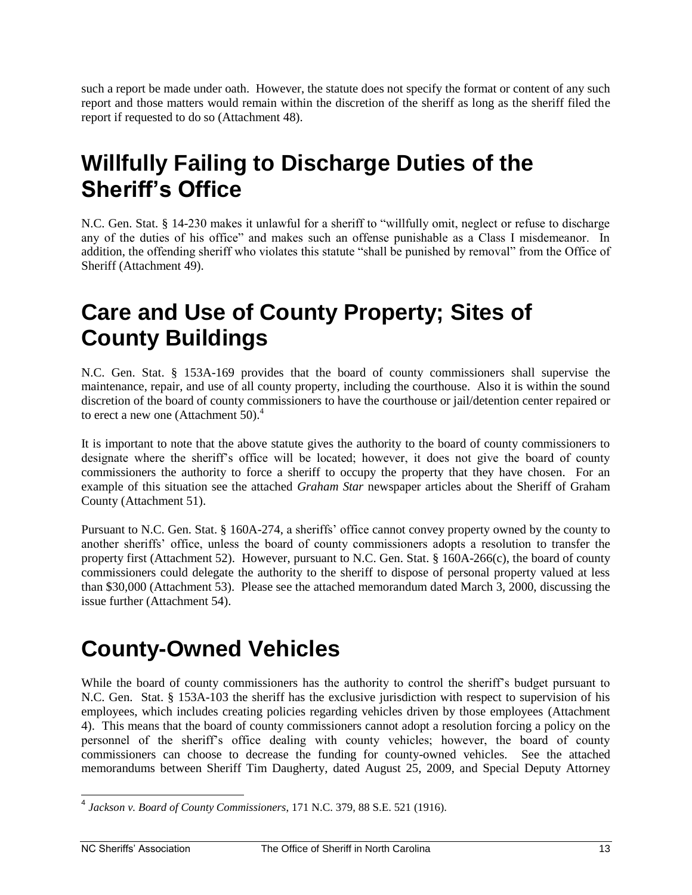such a report be made under oath. However, the statute does not specify the format or content of any such report and those matters would remain within the discretion of the sheriff as long as the sheriff filed the report if requested to do so (Attachment 48).

# <span id="page-15-0"></span>**Willfully Failing to Discharge Duties of the Sheriff's Office**

N.C. Gen. Stat. § 14-230 makes it unlawful for a sheriff to "willfully omit, neglect or refuse to discharge any of the duties of his office" and makes such an offense punishable as a Class I misdemeanor. In addition, the offending sheriff who violates this statute "shall be punished by removal" from the Office of Sheriff (Attachment 49).

# <span id="page-15-1"></span>**Care and Use of County Property; Sites of County Buildings**

N.C. Gen. Stat. § 153A-169 provides that the board of county commissioners shall supervise the maintenance, repair, and use of all county property, including the courthouse. Also it is within the sound discretion of the board of county commissioners to have the courthouse or jail/detention center repaired or to erect a new one (Attachment 50). $4$ 

It is important to note that the above statute gives the authority to the board of county commissioners to designate where the sheriff's office will be located; however, it does not give the board of county commissioners the authority to force a sheriff to occupy the property that they have chosen. For an example of this situation see the attached *Graham Star* newspaper articles about the Sheriff of Graham County (Attachment 51).

Pursuant to N.C. Gen. Stat. § 160A-274, a sheriffs' office cannot convey property owned by the county to another sheriffs' office, unless the board of county commissioners adopts a resolution to transfer the property first (Attachment 52). However, pursuant to N.C. Gen. Stat. § 160A-266(c), the board of county commissioners could delegate the authority to the sheriff to dispose of personal property valued at less than \$30,000 (Attachment 53). Please see the attached memorandum dated March 3, 2000, discussing the issue further (Attachment 54).

# <span id="page-15-2"></span>**County-Owned Vehicles**

While the board of county commissioners has the authority to control the sheriff's budget pursuant to N.C. Gen. Stat. § 153A-103 the sheriff has the exclusive jurisdiction with respect to supervision of his employees, which includes creating policies regarding vehicles driven by those employees (Attachment 4). This means that the board of county commissioners cannot adopt a resolution forcing a policy on the personnel of the sheriff's office dealing with county vehicles; however, the board of county commissioners can choose to decrease the funding for county-owned vehicles. See the attached memorandums between Sheriff Tim Daugherty, dated August 25, 2009, and Special Deputy Attorney

 4 *Jackson v. Board of County Commissioners*, 171 N.C. 379, 88 S.E. 521 (1916).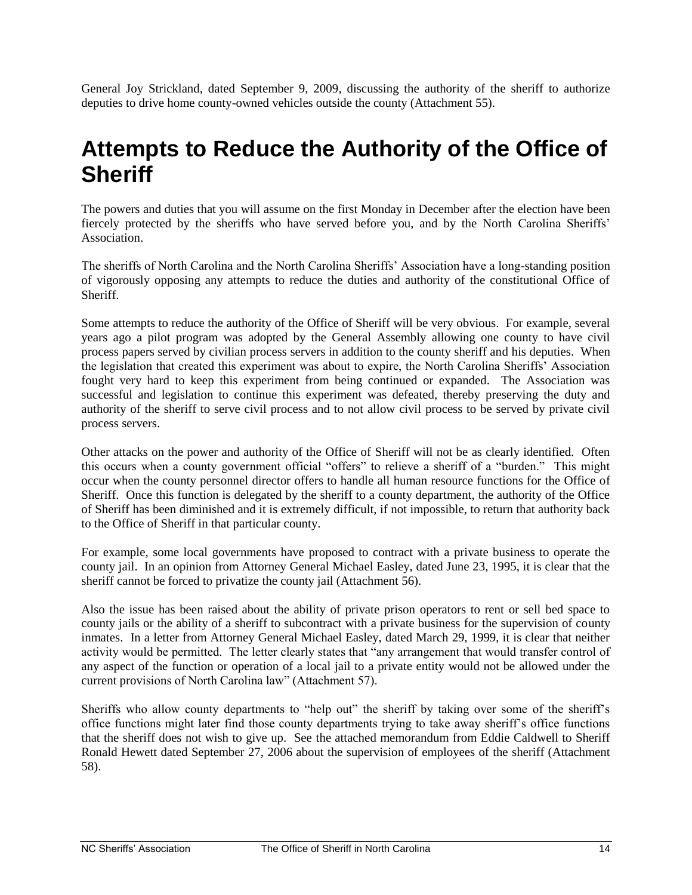General Joy Strickland, dated September 9, 2009, discussing the authority of the sheriff to authorize deputies to drive home county-owned vehicles outside the county (Attachment 55).

### <span id="page-16-0"></span>**Attempts to Reduce the Authority of the Office of Sheriff**

The powers and duties that you will assume on the first Monday in December after the election have been fiercely protected by the sheriffs who have served before you, and by the North Carolina Sheriffs' Association.

The sheriffs of North Carolina and the North Carolina Sheriffs' Association have a long-standing position of vigorously opposing any attempts to reduce the duties and authority of the constitutional Office of Sheriff.

Some attempts to reduce the authority of the Office of Sheriff will be very obvious. For example, several years ago a pilot program was adopted by the General Assembly allowing one county to have civil process papers served by civilian process servers in addition to the county sheriff and his deputies. When the legislation that created this experiment was about to expire, the North Carolina Sheriffs' Association fought very hard to keep this experiment from being continued or expanded. The Association was successful and legislation to continue this experiment was defeated, thereby preserving the duty and authority of the sheriff to serve civil process and to not allow civil process to be served by private civil process servers.

Other attacks on the power and authority of the Office of Sheriff will not be as clearly identified. Often this occurs when a county government official "offers" to relieve a sheriff of a "burden." This might occur when the county personnel director offers to handle all human resource functions for the Office of Sheriff. Once this function is delegated by the sheriff to a county department, the authority of the Office of Sheriff has been diminished and it is extremely difficult, if not impossible, to return that authority back to the Office of Sheriff in that particular county.

For example, some local governments have proposed to contract with a private business to operate the county jail. In an opinion from Attorney General Michael Easley, dated June 23, 1995, it is clear that the sheriff cannot be forced to privatize the county jail (Attachment 56).

Also the issue has been raised about the ability of private prison operators to rent or sell bed space to county jails or the ability of a sheriff to subcontract with a private business for the supervision of county inmates. In a letter from Attorney General Michael Easley, dated March 29, 1999, it is clear that neither activity would be permitted. The letter clearly states that "any arrangement that would transfer control of any aspect of the function or operation of a local jail to a private entity would not be allowed under the current provisions of North Carolina law" (Attachment 57).

Sheriffs who allow county departments to "help out" the sheriff by taking over some of the sheriff's office functions might later find those county departments trying to take away sheriff's office functions that the sheriff does not wish to give up. See the attached memorandum from Eddie Caldwell to Sheriff Ronald Hewett dated September 27, 2006 about the supervision of employees of the sheriff (Attachment 58).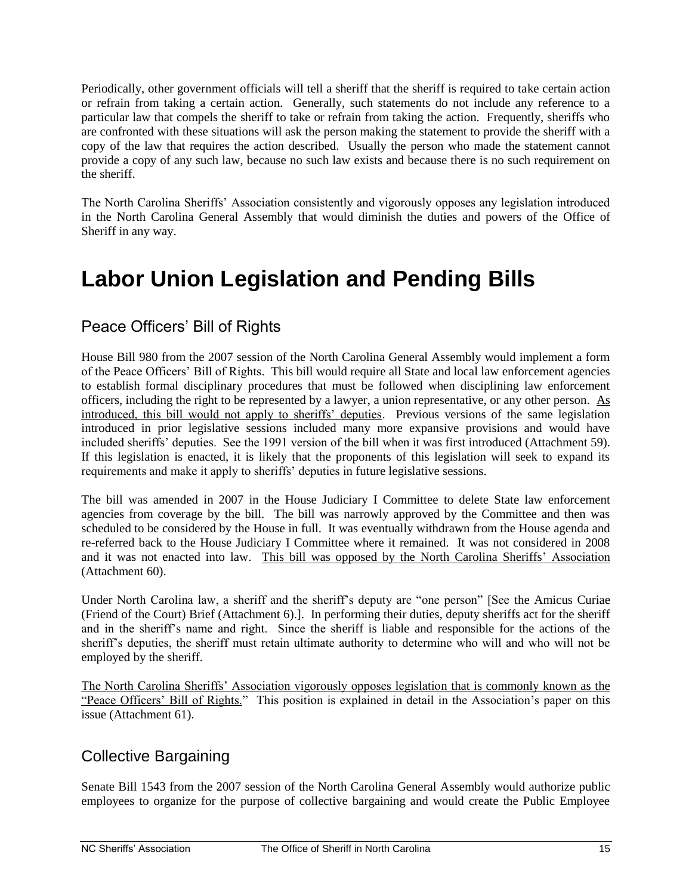Periodically, other government officials will tell a sheriff that the sheriff is required to take certain action or refrain from taking a certain action. Generally, such statements do not include any reference to a particular law that compels the sheriff to take or refrain from taking the action. Frequently, sheriffs who are confronted with these situations will ask the person making the statement to provide the sheriff with a copy of the law that requires the action described. Usually the person who made the statement cannot provide a copy of any such law, because no such law exists and because there is no such requirement on the sheriff.

The North Carolina Sheriffs' Association consistently and vigorously opposes any legislation introduced in the North Carolina General Assembly that would diminish the duties and powers of the Office of Sheriff in any way.

# <span id="page-17-0"></span>**Labor Union Legislation and Pending Bills**

#### <span id="page-17-1"></span>Peace Officers' Bill of Rights

House Bill 980 from the 2007 session of the North Carolina General Assembly would implement a form of the Peace Officers' Bill of Rights. This bill would require all State and local law enforcement agencies to establish formal disciplinary procedures that must be followed when disciplining law enforcement officers, including the right to be represented by a lawyer, a union representative, or any other person. As introduced, this bill would not apply to sheriffs' deputies. Previous versions of the same legislation introduced in prior legislative sessions included many more expansive provisions and would have included sheriffs' deputies. See the 1991 version of the bill when it was first introduced (Attachment 59). If this legislation is enacted, it is likely that the proponents of this legislation will seek to expand its requirements and make it apply to sheriffs' deputies in future legislative sessions.

The bill was amended in 2007 in the House Judiciary I Committee to delete State law enforcement agencies from coverage by the bill. The bill was narrowly approved by the Committee and then was scheduled to be considered by the House in full. It was eventually withdrawn from the House agenda and re-referred back to the House Judiciary I Committee where it remained. It was not considered in 2008 and it was not enacted into law. This bill was opposed by the North Carolina Sheriffs' Association (Attachment 60).

Under North Carolina law, a sheriff and the sheriff's deputy are "one person" [See the Amicus Curiae (Friend of the Court) Brief (Attachment 6).]. In performing their duties, deputy sheriffs act for the sheriff and in the sheriff's name and right. Since the sheriff is liable and responsible for the actions of the sheriff's deputies, the sheriff must retain ultimate authority to determine who will and who will not be employed by the sheriff.

The North Carolina Sheriffs' Association vigorously opposes legislation that is commonly known as the "Peace Officers' Bill of Rights." This position is explained in detail in the Association's paper on this issue (Attachment 61).

#### <span id="page-17-2"></span>Collective Bargaining

Senate Bill 1543 from the 2007 session of the North Carolina General Assembly would authorize public employees to organize for the purpose of collective bargaining and would create the Public Employee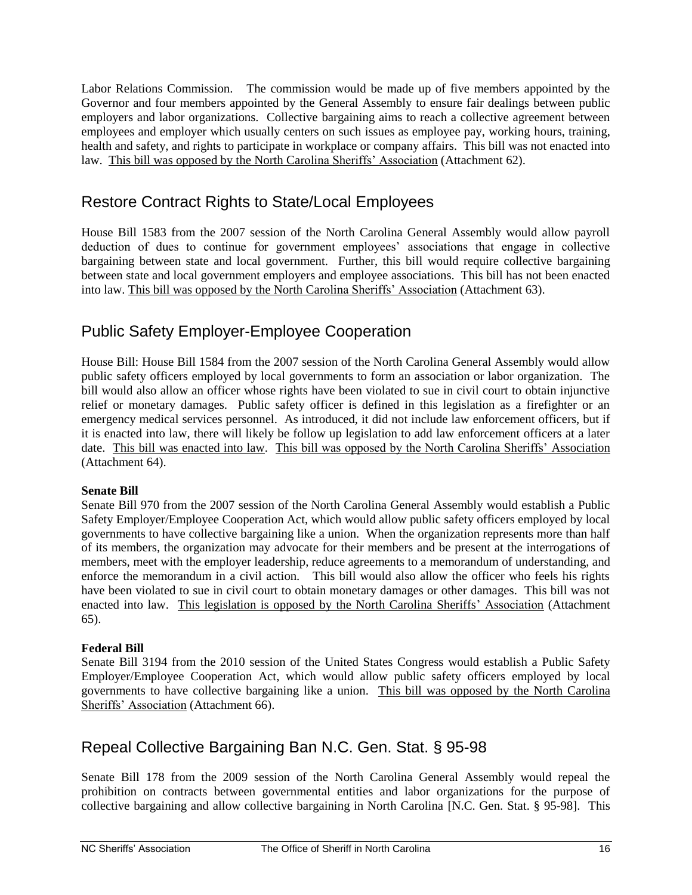Labor Relations Commission. The commission would be made up of five members appointed by the Governor and four members appointed by the General Assembly to ensure fair dealings between public employers and labor organizations. Collective bargaining aims to reach a collective agreement between employees and employer which usually centers on such issues as employee pay, working hours, training, health and safety, and rights to participate in workplace or company affairs. This bill was not enacted into law. This bill was opposed by the North Carolina Sheriffs' Association (Attachment 62).

#### <span id="page-18-0"></span>Restore Contract Rights to State/Local Employees

House Bill 1583 from the 2007 session of the North Carolina General Assembly would allow payroll deduction of dues to continue for government employees' associations that engage in collective bargaining between state and local government. Further, this bill would require collective bargaining between state and local government employers and employee associations. This bill has not been enacted into law. This bill was opposed by the North Carolina Sheriffs' Association (Attachment 63).

### <span id="page-18-1"></span>Public Safety Employer-Employee Cooperation

House Bill: House Bill 1584 from the 2007 session of the North Carolina General Assembly would allow public safety officers employed by local governments to form an association or labor organization. The bill would also allow an officer whose rights have been violated to sue in civil court to obtain injunctive relief or monetary damages. Public safety officer is defined in this legislation as a firefighter or an emergency medical services personnel. As introduced, it did not include law enforcement officers, but if it is enacted into law, there will likely be follow up legislation to add law enforcement officers at a later date. This bill was enacted into law. This bill was opposed by the North Carolina Sheriffs' Association (Attachment 64).

#### **Senate Bill**

Senate Bill 970 from the 2007 session of the North Carolina General Assembly would establish a Public Safety Employer/Employee Cooperation Act, which would allow public safety officers employed by local governments to have collective bargaining like a union. When the organization represents more than half of its members, the organization may advocate for their members and be present at the interrogations of members, meet with the employer leadership, reduce agreements to a memorandum of understanding, and enforce the memorandum in a civil action. This bill would also allow the officer who feels his rights have been violated to sue in civil court to obtain monetary damages or other damages. This bill was not enacted into law. This legislation is opposed by the North Carolina Sheriffs' Association (Attachment 65).

#### **Federal Bill**

Senate Bill 3194 from the 2010 session of the United States Congress would establish a Public Safety Employer/Employee Cooperation Act, which would allow public safety officers employed by local governments to have collective bargaining like a union. This bill was opposed by the North Carolina Sheriffs' Association (Attachment 66).

### <span id="page-18-2"></span>Repeal Collective Bargaining Ban N.C. Gen. Stat. § 95-98

Senate Bill 178 from the 2009 session of the North Carolina General Assembly would repeal the prohibition on contracts between governmental entities and labor organizations for the purpose of collective bargaining and allow collective bargaining in North Carolina [N.C. Gen. Stat. § 95-98]. This